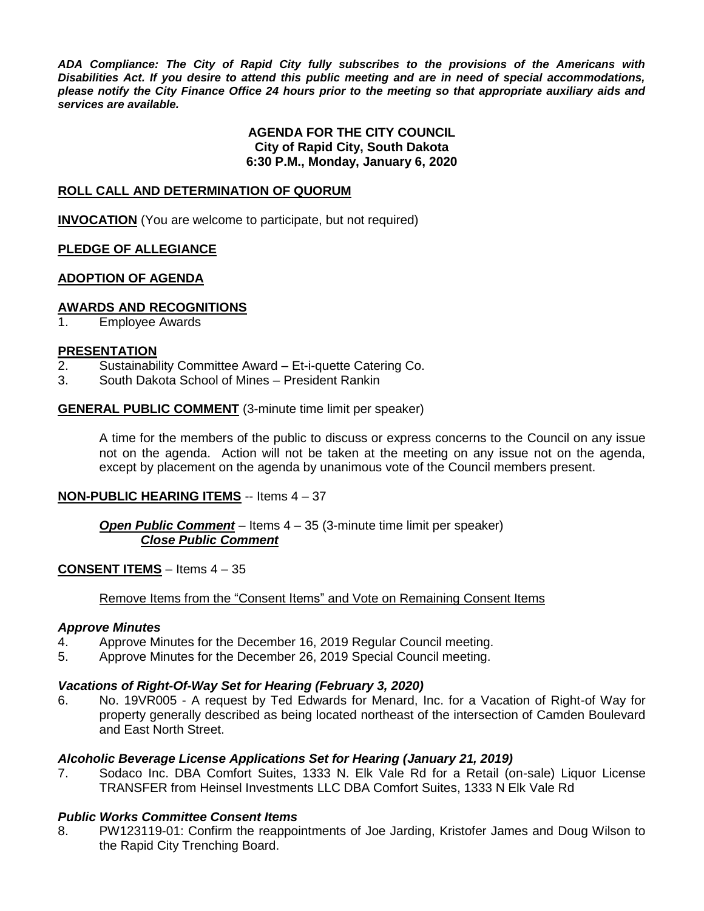*ADA Compliance: The City of Rapid City fully subscribes to the provisions of the Americans with Disabilities Act. If you desire to attend this public meeting and are in need of special accommodations, please notify the City Finance Office 24 hours prior to the meeting so that appropriate auxiliary aids and services are available.*

## **AGENDA FOR THE CITY COUNCIL City of Rapid City, South Dakota 6:30 P.M., Monday, January 6, 2020**

## **ROLL CALL AND DETERMINATION OF QUORUM**

**INVOCATION** (You are welcome to participate, but not required)

## **PLEDGE OF ALLEGIANCE**

## **ADOPTION OF AGENDA**

#### **AWARDS AND RECOGNITIONS**

1. Employee Awards

#### **PRESENTATION**

- 2. Sustainability Committee Award Et-i-quette Catering Co.
- 3. South Dakota School of Mines President Rankin

#### **GENERAL PUBLIC COMMENT** (3-minute time limit per speaker)

A time for the members of the public to discuss or express concerns to the Council on any issue not on the agenda. Action will not be taken at the meeting on any issue not on the agenda, except by placement on the agenda by unanimous vote of the Council members present.

## **NON-PUBLIC HEARING ITEMS** -- Items 4 – 37

## *Open Public Comment* – Items 4 – 35 (3-minute time limit per speaker) *Close Public Comment*

## **CONSENT ITEMS** – Items 4 – 35

#### Remove Items from the "Consent Items" and Vote on Remaining Consent Items

#### *Approve Minutes*

- 4. Approve Minutes for the December 16, 2019 Regular Council meeting.
- 5. Approve Minutes for the December 26, 2019 Special Council meeting.

## *Vacations of Right-Of-Way Set for Hearing (February 3, 2020)*

6. No. 19VR005 - A request by Ted Edwards for Menard, Inc. for a Vacation of Right-of Way for property generally described as being located northeast of the intersection of Camden Boulevard and East North Street.

## *Alcoholic Beverage License Applications Set for Hearing (January 21, 2019)*

7. Sodaco Inc. DBA Comfort Suites, 1333 N. Elk Vale Rd for a Retail (on-sale) Liquor License TRANSFER from Heinsel Investments LLC DBA Comfort Suites, 1333 N Elk Vale Rd

## *Public Works Committee Consent Items*

8. PW123119-01: Confirm the reappointments of Joe Jarding, Kristofer James and Doug Wilson to the Rapid City Trenching Board.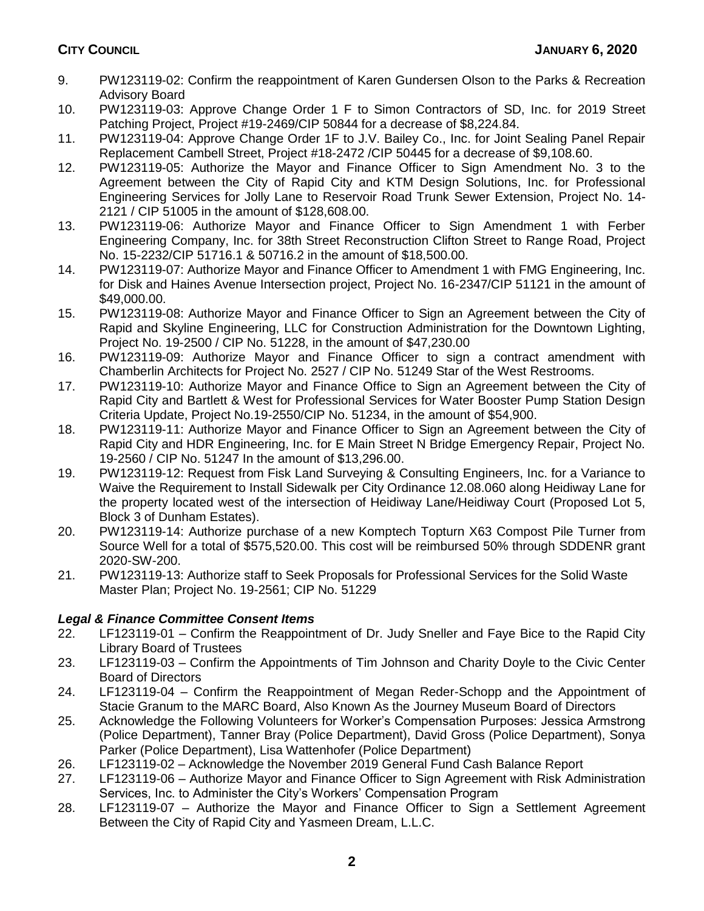- 9. PW123119-02: Confirm the reappointment of Karen Gundersen Olson to the Parks & Recreation Advisory Board
- 10. PW123119-03: Approve Change Order 1 F to Simon Contractors of SD, Inc. for 2019 Street Patching Project, Project #19-2469/CIP 50844 for a decrease of \$8,224.84.
- 11. PW123119-04: Approve Change Order 1F to J.V. Bailey Co., Inc. for Joint Sealing Panel Repair Replacement Cambell Street, Project #18-2472 /CIP 50445 for a decrease of \$9,108.60.
- 12. PW123119-05: Authorize the Mayor and Finance Officer to Sign Amendment No. 3 to the Agreement between the City of Rapid City and KTM Design Solutions, Inc. for Professional Engineering Services for Jolly Lane to Reservoir Road Trunk Sewer Extension, Project No. 14- 2121 / CIP 51005 in the amount of \$128,608.00.
- 13. PW123119-06: Authorize Mayor and Finance Officer to Sign Amendment 1 with Ferber Engineering Company, Inc. for 38th Street Reconstruction Clifton Street to Range Road, Project No. 15-2232/CIP 51716.1 & 50716.2 in the amount of \$18,500.00.
- 14. PW123119-07: Authorize Mayor and Finance Officer to Amendment 1 with FMG Engineering, Inc. for Disk and Haines Avenue Intersection project, Project No. 16-2347/CIP 51121 in the amount of \$49,000.00.
- 15. PW123119-08: Authorize Mayor and Finance Officer to Sign an Agreement between the City of Rapid and Skyline Engineering, LLC for Construction Administration for the Downtown Lighting, Project No. 19-2500 / CIP No. 51228, in the amount of \$47,230.00
- 16. PW123119-09: Authorize Mayor and Finance Officer to sign a contract amendment with Chamberlin Architects for Project No. 2527 / CIP No. 51249 Star of the West Restrooms.
- 17. PW123119-10: Authorize Mayor and Finance Office to Sign an Agreement between the City of Rapid City and Bartlett & West for Professional Services for Water Booster Pump Station Design Criteria Update, Project No.19-2550/CIP No. 51234, in the amount of \$54,900.
- 18. PW123119-11: Authorize Mayor and Finance Officer to Sign an Agreement between the City of Rapid City and HDR Engineering, Inc. for E Main Street N Bridge Emergency Repair, Project No. 19-2560 / CIP No. 51247 In the amount of \$13,296.00.
- 19. PW123119-12: Request from Fisk Land Surveying & Consulting Engineers, Inc. for a Variance to Waive the Requirement to Install Sidewalk per City Ordinance 12.08.060 along Heidiway Lane for the property located west of the intersection of Heidiway Lane/Heidiway Court (Proposed Lot 5, Block 3 of Dunham Estates).
- 20. PW123119-14: Authorize purchase of a new Komptech Topturn X63 Compost Pile Turner from Source Well for a total of \$575,520.00. This cost will be reimbursed 50% through SDDENR grant 2020-SW-200.
- 21. PW123119-13: Authorize staff to Seek Proposals for Professional Services for the Solid Waste Master Plan; Project No. 19-2561; CIP No. 51229

# *Legal & Finance Committee Consent Items*

- 22. LF123119-01 Confirm the Reappointment of Dr. Judy Sneller and Faye Bice to the Rapid City Library Board of Trustees
- 23. LF123119-03 Confirm the Appointments of Tim Johnson and Charity Doyle to the Civic Center Board of Directors
- 24. LF123119-04 Confirm the Reappointment of Megan Reder-Schopp and the Appointment of Stacie Granum to the MARC Board, Also Known As the Journey Museum Board of Directors
- 25. Acknowledge the Following Volunteers for Worker's Compensation Purposes: Jessica Armstrong (Police Department), Tanner Bray (Police Department), David Gross (Police Department), Sonya Parker (Police Department), Lisa Wattenhofer (Police Department)
- 26. LF123119-02 Acknowledge the November 2019 General Fund Cash Balance Report
- 27. LF123119-06 Authorize Mayor and Finance Officer to Sign Agreement with Risk Administration Services, Inc. to Administer the City's Workers' Compensation Program
- 28. LF123119-07 Authorize the Mayor and Finance Officer to Sign a Settlement Agreement Between the City of Rapid City and Yasmeen Dream, L.L.C.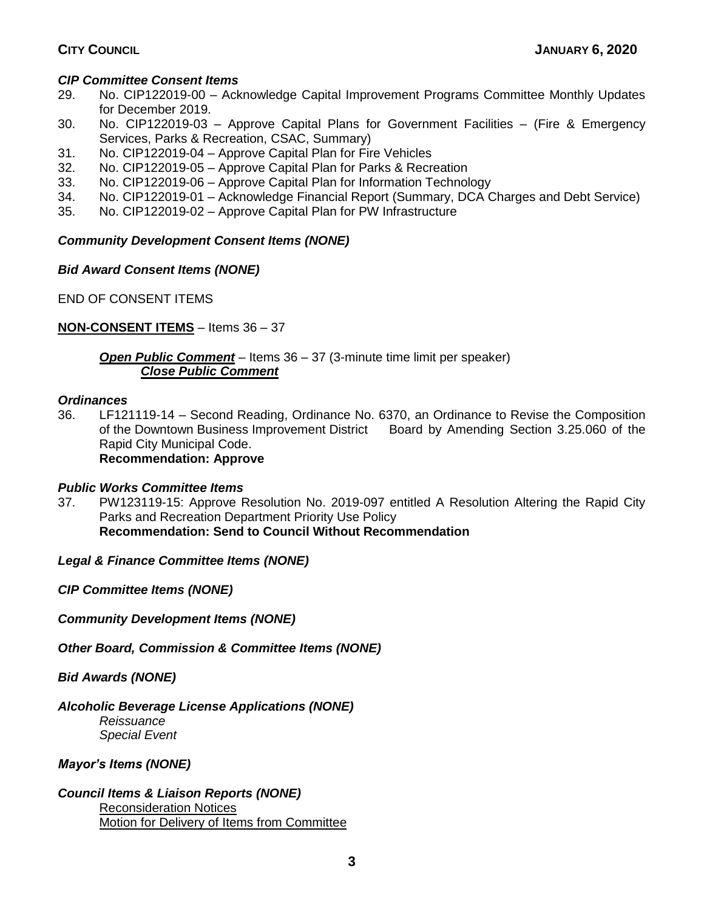# *CIP Committee Consent Items*

- 29. No. CIP122019-00 Acknowledge Capital Improvement Programs Committee Monthly Updates for December 2019.
- 30. No. CIP122019-03 Approve Capital Plans for Government Facilities (Fire & Emergency Services, Parks & Recreation, CSAC, Summary)
- 31. No. CIP122019-04 Approve Capital Plan for Fire Vehicles
- 32. No. CIP122019-05 Approve Capital Plan for Parks & Recreation
- 33. No. CIP122019-06 Approve Capital Plan for Information Technology
- 34. No. CIP122019-01 Acknowledge Financial Report (Summary, DCA Charges and Debt Service)
- 35. No. CIP122019-02 Approve Capital Plan for PW Infrastructure

# *Community Development Consent Items (NONE)*

# *Bid Award Consent Items (NONE)*

END OF CONSENT ITEMS

# **NON-CONSENT ITEMS** – Items 36 – 37

*Open Public Comment* – Items 36 – 37 (3-minute time limit per speaker) *Close Public Comment*

## *Ordinances*

36. LF121119-14 – Second Reading, Ordinance No. 6370, an Ordinance to Revise the Composition of the Downtown Business Improvement District Board by Amending Section 3.25.060 of the Rapid City Municipal Code. **Recommendation: Approve**

# *Public Works Committee Items*

37. PW123119-15: Approve Resolution No. 2019-097 entitled A Resolution Altering the Rapid City Parks and Recreation Department Priority Use Policy **Recommendation: Send to Council Without Recommendation**

*Legal & Finance Committee Items (NONE)*

*CIP Committee Items (NONE)*

*Community Development Items (NONE)*

*Other Board, Commission & Committee Items (NONE)*

*Bid Awards (NONE)*

# *Alcoholic Beverage License Applications (NONE)*

*Reissuance Special Event*

# *Mayor's Items (NONE)*

*Council Items & Liaison Reports (NONE)* Reconsideration Notices Motion for Delivery of Items from Committee